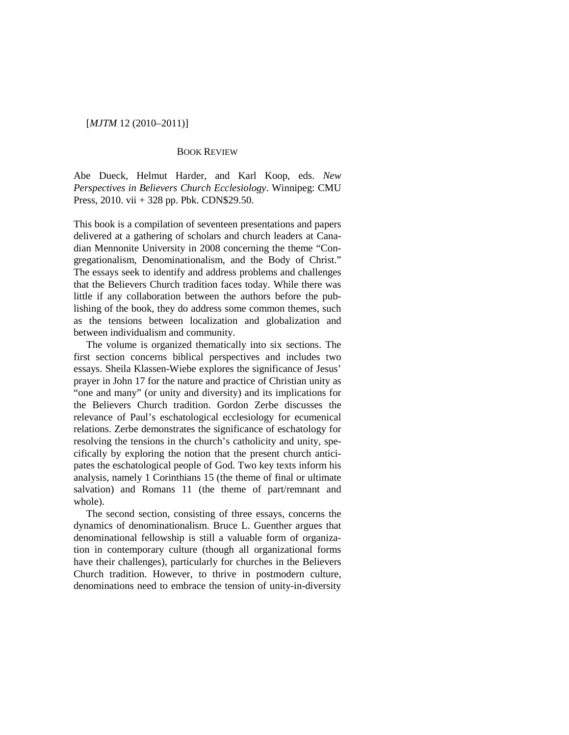# [*MJTM* 12 (2010–2011)]

## BOOK REVIEW

Abe Dueck, Helmut Harder, and Karl Koop, eds. *New Perspectives in Believers Church Ecclesiology*. Winnipeg: CMU Press, 2010. vii + 328 pp. Pbk. CDN\$29.50.

This book is a compilation of seventeen presentations and papers delivered at a gathering of scholars and church leaders at Canadian Mennonite University in 2008 concerning the theme "Congregationalism, Denominationalism, and the Body of Christ." The essays seek to identify and address problems and challenges that the Believers Church tradition faces today. While there was little if any collaboration between the authors before the publishing of the book, they do address some common themes, such as the tensions between localization and globalization and between individualism and community.

The volume is organized thematically into six sections. The first section concerns biblical perspectives and includes two essays. Sheila Klassen-Wiebe explores the significance of Jesus' prayer in John 17 for the nature and practice of Christian unity as "one and many" (or unity and diversity) and its implications for the Believers Church tradition. Gordon Zerbe discusses the relevance of Paul's eschatological ecclesiology for ecumenical relations. Zerbe demonstrates the significance of eschatology for resolving the tensions in the church's catholicity and unity, specifically by exploring the notion that the present church anticipates the eschatological people of God. Two key texts inform his analysis, namely 1 Corinthians 15 (the theme of final or ultimate salvation) and Romans 11 (the theme of part/remnant and whole).

The second section, consisting of three essays, concerns the dynamics of denominationalism. Bruce L. Guenther argues that denominational fellowship is still a valuable form of organization in contemporary culture (though all organizational forms have their challenges), particularly for churches in the Believers Church tradition. However, to thrive in postmodern culture, denominations need to embrace the tension of unity-in-diversity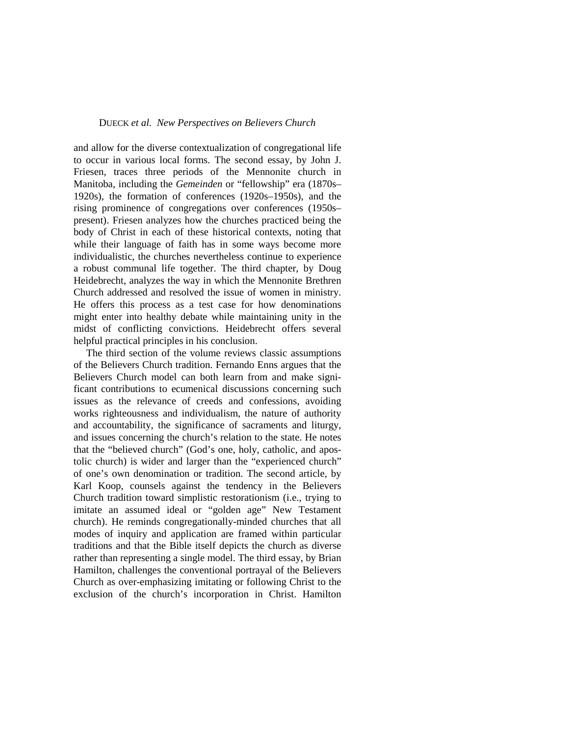#### DUECK *et al. New Perspectives on Believers Church*

and allow for the diverse contextualization of congregational life to occur in various local forms. The second essay, by John J. Friesen, traces three periods of the Mennonite church in Manitoba, including the *Gemeinden* or "fellowship" era (1870s– 1920s), the formation of conferences (1920s–1950s), and the rising prominence of congregations over conferences (1950s– present). Friesen analyzes how the churches practiced being the body of Christ in each of these historical contexts, noting that while their language of faith has in some ways become more individualistic, the churches nevertheless continue to experience a robust communal life together. The third chapter, by Doug Heidebrecht, analyzes the way in which the Mennonite Brethren Church addressed and resolved the issue of women in ministry. He offers this process as a test case for how denominations might enter into healthy debate while maintaining unity in the midst of conflicting convictions. Heidebrecht offers several helpful practical principles in his conclusion.

The third section of the volume reviews classic assumptions of the Believers Church tradition. Fernando Enns argues that the Believers Church model can both learn from and make significant contributions to ecumenical discussions concerning such issues as the relevance of creeds and confessions, avoiding works righteousness and individualism, the nature of authority and accountability, the significance of sacraments and liturgy, and issues concerning the church's relation to the state. He notes that the "believed church" (God's one, holy, catholic, and apostolic church) is wider and larger than the "experienced church" of one's own denomination or tradition. The second article, by Karl Koop, counsels against the tendency in the Believers Church tradition toward simplistic restorationism (i.e., trying to imitate an assumed ideal or "golden age" New Testament church). He reminds congregationally-minded churches that all modes of inquiry and application are framed within particular traditions and that the Bible itself depicts the church as diverse rather than representing a single model. The third essay, by Brian Hamilton, challenges the conventional portrayal of the Believers Church as over-emphasizing imitating or following Christ to the exclusion of the church's incorporation in Christ. Hamilton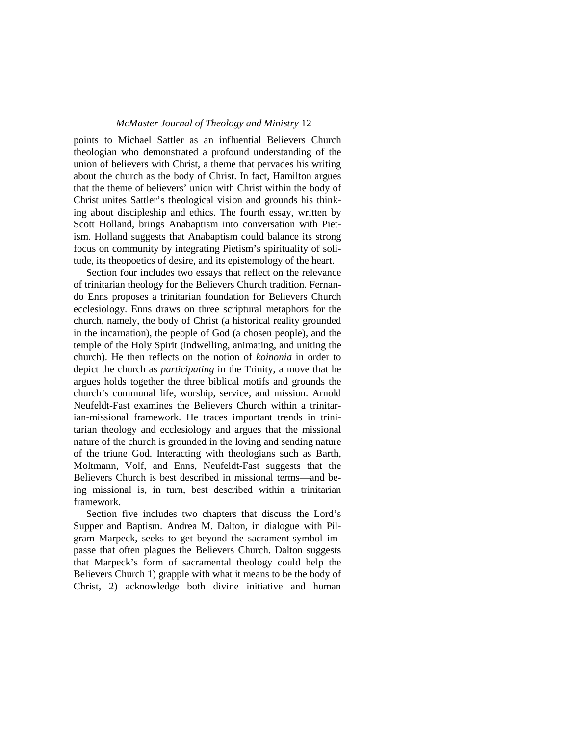## *McMaster Journal of Theology and Ministry* 12

points to Michael Sattler as an influential Believers Church theologian who demonstrated a profound understanding of the union of believers with Christ, a theme that pervades his writing about the church as the body of Christ. In fact, Hamilton argues that the theme of believers' union with Christ within the body of Christ unites Sattler's theological vision and grounds his thinking about discipleship and ethics. The fourth essay, written by Scott Holland, brings Anabaptism into conversation with Pietism. Holland suggests that Anabaptism could balance its strong focus on community by integrating Pietism's spirituality of solitude, its theopoetics of desire, and its epistemology of the heart.

Section four includes two essays that reflect on the relevance of trinitarian theology for the Believers Church tradition. Fernando Enns proposes a trinitarian foundation for Believers Church ecclesiology. Enns draws on three scriptural metaphors for the church, namely, the body of Christ (a historical reality grounded in the incarnation), the people of God (a chosen people), and the temple of the Holy Spirit (indwelling, animating, and uniting the church). He then reflects on the notion of *koinonia* in order to depict the church as *participating* in the Trinity, a move that he argues holds together the three biblical motifs and grounds the church's communal life, worship, service, and mission. Arnold Neufeldt-Fast examines the Believers Church within a trinitarian-missional framework. He traces important trends in trinitarian theology and ecclesiology and argues that the missional nature of the church is grounded in the loving and sending nature of the triune God. Interacting with theologians such as Barth, Moltmann, Volf, and Enns, Neufeldt-Fast suggests that the Believers Church is best described in missional terms—and being missional is, in turn, best described within a trinitarian framework.

Section five includes two chapters that discuss the Lord's Supper and Baptism. Andrea M. Dalton, in dialogue with Pilgram Marpeck, seeks to get beyond the sacrament-symbol impasse that often plagues the Believers Church. Dalton suggests that Marpeck's form of sacramental theology could help the Believers Church 1) grapple with what it means to be the body of Christ, 2) acknowledge both divine initiative and human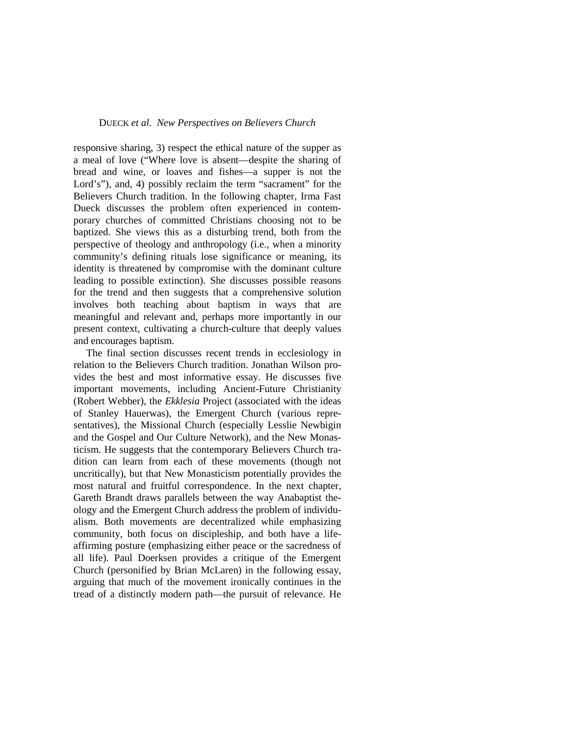#### DUECK *et al. New Perspectives on Believers Church*

responsive sharing, 3) respect the ethical nature of the supper as a meal of love ("Where love is absent—despite the sharing of bread and wine, or loaves and fishes—a supper is not the Lord's"), and, 4) possibly reclaim the term "sacrament" for the Believers Church tradition. In the following chapter, Irma Fast Dueck discusses the problem often experienced in contemporary churches of committed Christians choosing not to be baptized. She views this as a disturbing trend, both from the perspective of theology and anthropology (i.e., when a minority community's defining rituals lose significance or meaning, its identity is threatened by compromise with the dominant culture leading to possible extinction). She discusses possible reasons for the trend and then suggests that a comprehensive solution involves both teaching about baptism in ways that are meaningful and relevant and, perhaps more importantly in our present context, cultivating a church-culture that deeply values and encourages baptism.

The final section discusses recent trends in ecclesiology in relation to the Believers Church tradition. Jonathan Wilson provides the best and most informative essay. He discusses five important movements, including Ancient-Future Christianity (Robert Webber), the *Ekklesia* Project (associated with the ideas of Stanley Hauerwas), the Emergent Church (various representatives), the Missional Church (especially Lesslie Newbigin and the Gospel and Our Culture Network), and the New Monasticism. He suggests that the contemporary Believers Church tradition can learn from each of these movements (though not uncritically), but that New Monasticism potentially provides the most natural and fruitful correspondence. In the next chapter, Gareth Brandt draws parallels between the way Anabaptist theology and the Emergent Church address the problem of individualism. Both movements are decentralized while emphasizing community, both focus on discipleship, and both have a lifeaffirming posture (emphasizing either peace or the sacredness of all life). Paul Doerksen provides a critique of the Emergent Church (personified by Brian McLaren) in the following essay, arguing that much of the movement ironically continues in the tread of a distinctly modern path—the pursuit of relevance. He